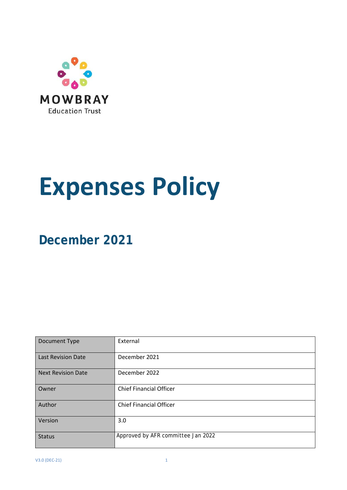

# **Expenses Policy**

**December 2021**

| Document Type             | External                           |
|---------------------------|------------------------------------|
| <b>Last Revision Date</b> | December 2021                      |
| <b>Next Revision Date</b> | December 2022                      |
| Owner                     | <b>Chief Financial Officer</b>     |
| Author                    | <b>Chief Financial Officer</b>     |
| Version                   | 3.0                                |
| <b>Status</b>             | Approved by AFR committee Jan 2022 |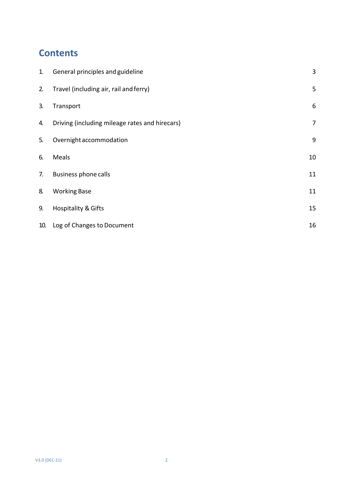## **Contents**

| 1.  | General principles and guideline               | 3     |
|-----|------------------------------------------------|-------|
| 2.  | Travel (including air, rail and ferry)         | 5     |
| 3.  | Transport                                      | $6\,$ |
| 4.  | Driving (including mileage rates and hirecars) | 7     |
| 5.  | Overnight accommodation                        | 9     |
| 6.  | Meals                                          | 10    |
| 7.  | <b>Business phone calls</b>                    | 11    |
| 8.  | <b>Working Base</b>                            | 11    |
| 9.  | <b>Hospitality &amp; Gifts</b>                 | 15    |
| 10. | Log of Changes to Document                     | 16    |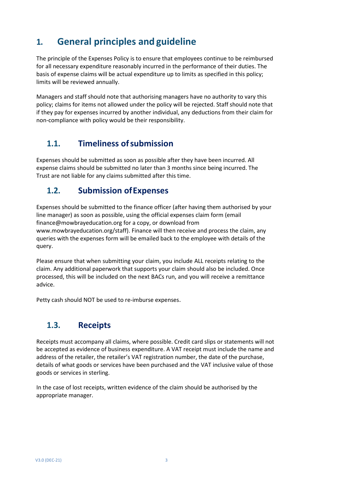## <span id="page-2-0"></span>**1. General principles and guideline**

The principle of the Expenses Policy is to ensure that employees continue to be reimbursed for all necessary expenditure reasonably incurred in the performance of their duties. The basis of expense claims will be actual expenditure up to limits as specified in this policy; limits will be reviewed annually.

Managers and staff should note that authorising managers have no authority to vary this policy; claims for items not allowed under the policy will be rejected. Staff should note that if they pay for expenses incurred by another individual, any deductions from their claim for non-compliance with policy would be their responsibility.

## **1.1. Timeliness ofsubmission**

Expenses should be submitted as soon as possible after they have been incurred. All expense claims should be submitted no later than 3 months since being incurred. The Trust are not liable for any claims submitted after this time.

## **1.2. Submission ofExpenses**

Expenses should be submitted to [the](mailto:Finance@Reach4.org.uk) finance officer (after having them authorised by your line manager) as soon as possible, using the official expenses claim form (email [finance@mowbrayeducation.org](mailto:finance@mowbrayeducation.org) for a copy, or download from [www.mowbrayeducation.org/staff\).](http://www.mowbrayeducation.org/staff)) Finance will then receive and process the claim, any queries with the expenses form will be emailed back to the employee with details of the query.

Please ensure that when submitting your claim, you include ALL receipts relating to the claim. Any additional paperwork that supports your claim should also be included. Once processed, this will be included on the next BACs run, and you will receive a remittance advice.

Petty cash should NOT be used to re-imburse expenses.

## **1.3. Receipts**

Receipts must accompany all claims, where possible. Credit card slips or statements will not be accepted as evidence of business expenditure. A VAT receipt must include the name and address of the retailer, the retailer's VAT registration number, the date of the purchase, details of what goods or services have been purchased and the VAT inclusive value of those goods or services in sterling.

In the case of lost receipts, written evidence of the claim should be authorised by the appropriate manager.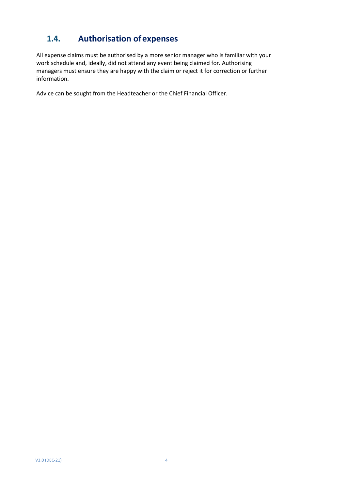## **1.4. Authorisation ofexpenses**

All expense claims must be authorised by a more senior manager who is familiar with your work schedule and, ideally, did not attend any event being claimed for. Authorising managers must ensure they are happy with the claim or reject it for correction or further information.

Advice can be sought from the Headteacher or the Chief Financial Officer.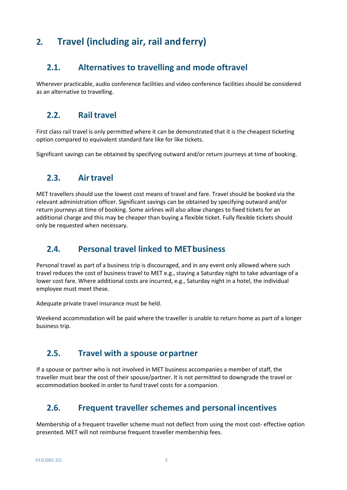## <span id="page-4-0"></span>**2. Travel (including air, rail andferry)**

## **2.1. Alternatives to travelling and mode oftravel**

Wherever practicable, audio conference facilities and video conference facilities should be considered as an alternative to travelling.

## **2.2. Railtravel**

First class rail travel is only permitted where it can be demonstrated that it is the cheapest ticketing option compared to equivalent standard fare like for like tickets.

Significant savings can be obtained by specifying outward and/or return journeys at time of booking.

#### **2.3. Airtravel**

MET travellers should use the lowest cost means of travel and fare. Travel should be booked via the relevant administration officer. Significant savings can be obtained by specifying outward and/or return journeys at time of booking. Some airlines will also allow changes to fixed tickets for an additional charge and this may be cheaper than buying a flexible ticket. Fully flexible tickets should only be requested when necessary.

## **2.4. Personal travel linked to METbusiness**

Personal travel as part of a business trip is discouraged, and in any event only allowed where such travel reduces the cost of business travel to MET e.g., staying a Saturday night to take advantage of a lower cost fare. Where additional costs are incurred, e.g., Saturday night in a hotel, the individual employee must meet these.

Adequate private travel insurance must be held.

Weekend accommodation will be paid where the traveller is unable to return home as part of a longer business trip.

#### **2.5. Travel with a spouse orpartner**

If a spouse or partner who is not involved in MET business accompanies a member of staff, the traveller must bear the cost of their spouse/partner. It is not permitted to downgrade the travel or accommodation booked in order to fund travel costs for a companion.

## **2.6. Frequent traveller schemes and personal incentives**

Membership of a frequent traveller scheme must not deflect from using the most cost- effective option presented. MET will not reimburse frequent traveller membership fees.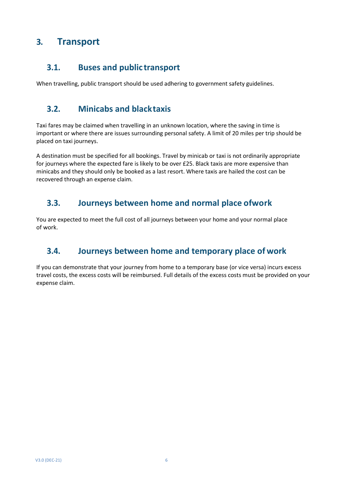## <span id="page-5-0"></span>**3. Transport**

#### **3.1. Buses and public transport**

When travelling, public transport should be used adhering to government safety guidelines.

#### **3.2. Minicabs and blacktaxis**

Taxi fares may be claimed when travelling in an unknown location, where the saving in time is important or where there are issues surrounding personal safety. A limit of 20 miles per trip should be placed on taxi journeys.

A destination must be specified for all bookings. Travel by minicab or taxi is not ordinarily appropriate for journeys where the expected fare is likely to be over £25. Black taxis are more expensive than minicabs and they should only be booked as a last resort. Where taxis are hailed the cost can be recovered through an expense claim.

## **3.3. Journeys between home and normal place ofwork**

You are expected to meet the full cost of all journeys between your home and your normal place of work.

## **3.4. Journeys between home and temporary place of work**

If you can demonstrate that your journey from home to a temporary base (or vice versa) incurs excess travel costs, the excess costs will be reimbursed. Full details of the excess costs must be provided on your expense claim.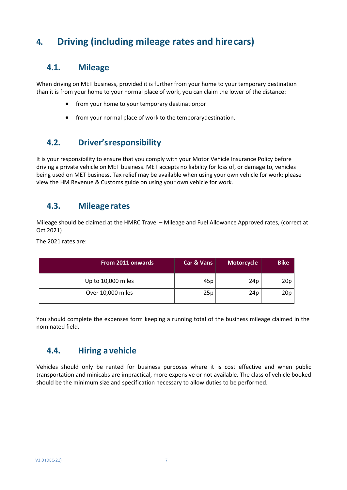## <span id="page-6-0"></span>**4. Driving (including mileage rates and hirecars)**

#### **4.1. Mileage**

When driving on MET business, provided it is further from your home to your temporary destination than it is from your home to your normal place of work, you can claim the lower of the distance:

- from your home to your temporary destination; or
- from your normal place of work to the temporarydestination.

## **4.2. Driver'sresponsibility**

It is your responsibility to ensure that you comply with your Motor Vehicle Insurance Policy before driving a private vehicle on MET business. MET accepts no liability for loss of, or damage to, vehicles being used on MET business. Tax relief may be available when using your own vehicle for work; please view the HM Revenue & Customs guide on using your own vehicle for work.

## **4.3. Mileage rates**

Mileage should be claimed at the HMRC Travel – Mileage and Fuel Allowance Approved rates, (correct at Oct 2021)

The 2021 rates are:

| <b>From 2011 onwards</b> | <b>Car &amp; Vans</b> | Motorcycle      | <b>Bike</b> |
|--------------------------|-----------------------|-----------------|-------------|
| Up to 10,000 miles       | 45p                   | 24 <sub>p</sub> | 20p         |
| Over 10,000 miles        | 25p                   | 24 <sub>p</sub> | 20p         |

You should complete the expenses form keeping a running total of the business mileage claimed in the nominated field.

## **4.4. Hiring a vehicle**

Vehicles should only be rented for business purposes where it is cost effective and when public transportation and minicabs are impractical, more expensive or not available. The class of vehicle booked should be the minimum size and specification necessary to allow duties to be performed.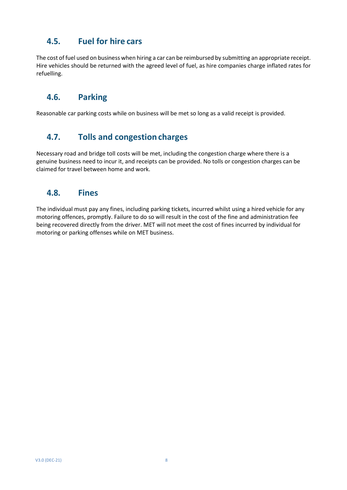## **4.5. Fuel for hire cars**

The cost of fuel used on business when hiring a car can be reimbursed by submitting an appropriate receipt. Hire vehicles should be returned with the agreed level of fuel, as hire companies charge inflated rates for refuelling.

## **4.6. Parking**

Reasonable car parking costs while on business will be met so long as a valid receipt is provided.

## **4.7. Tolls and congestioncharges**

Necessary road and bridge toll costs will be met, including the congestion charge where there is a genuine business need to incur it, and receipts can be provided. No tolls or congestion charges can be claimed for travel between home and work.

## **4.8. Fines**

The individual must pay any fines, including parking tickets, incurred whilst using a hired vehicle for any motoring offences, promptly. Failure to do so will result in the cost of the fine and administration fee being recovered directly from the driver. MET will not meet the cost of fines incurred by individual for motoring or parking offenses while on MET business.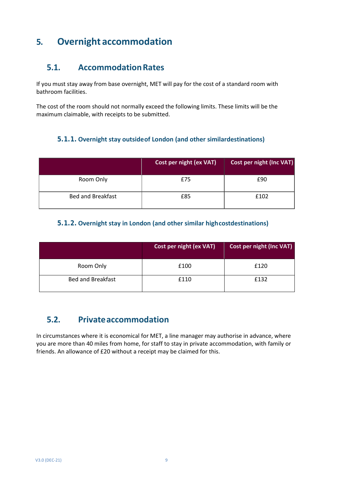## <span id="page-8-0"></span>**5. Overnight accommodation**

## **5.1. AccommodationRates**

If you must stay away from base overnight, MET will pay for the cost of a standard room with bathroom facilities.

The cost of the room should not normally exceed the following limits. These limits will be the maximum claimable, with receipts to be submitted.

#### **5.1.1. Overnight stay outsideof London (and other similardestinations)**

|                          | Cost per night (ex VAT) | Cost per night (Inc VAT) |
|--------------------------|-------------------------|--------------------------|
| Room Only                | £75                     | £90                      |
| <b>Bed and Breakfast</b> | £85                     | £102                     |

#### **5.1.2. Overnight stay in London (and other similar highcostdestinations)**

|                          | Cost per night (ex VAT) | <b>Cost per night (Inc VAT)</b> |
|--------------------------|-------------------------|---------------------------------|
| Room Only                | £100                    | £120                            |
| <b>Bed and Breakfast</b> | £110                    | £132                            |

## **5.2. Privateaccommodation**

In circumstances where it is economical for MET, a line manager may authorise in advance, where you are more than 40 miles from home, for staff to stay in private accommodation, with family or friends. An allowance of £20 without a receipt may be claimed for this.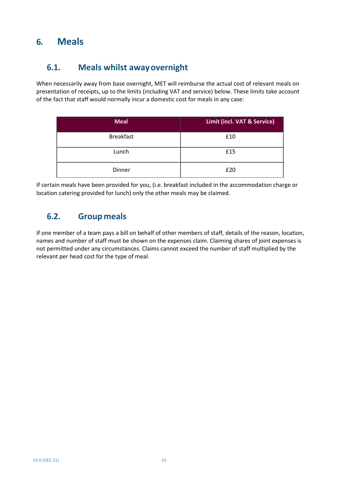## <span id="page-9-0"></span>**6. Meals**

## **6.1. Meals whilst awayovernight**

When necessarily away from base overnight, MET will reimburse the actual cost of relevant meals on presentation of receipts, up to the limits (including VAT and service) below. These limits take account of the fact that staff would normally incur a domestic cost for meals in any case:

| <b>Meal</b>      | Limit (incl. VAT & Service) |
|------------------|-----------------------------|
| <b>Breakfast</b> | £10                         |
| Lunch            | £15                         |
| Dinner           | £20                         |

If certain meals have been provided for you, (i.e. breakfast included in the accommodation charge or location catering provided for lunch) only the other meals may be claimed.

## **6.2. Group meals**

If one member of a team pays a bill on behalf of other members of staff, details of the reason, location, names and number of staff must be shown on the expenses claim. Claiming shares of joint expenses is not permitted under any circumstances. Claims cannot exceed the number of staff multiplied by the relevant per head cost for the type of meal.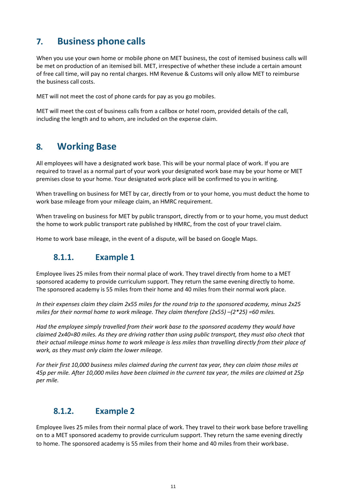## <span id="page-10-0"></span>**7. Business phone calls**

When you use your own home or mobile phone on MET business, the cost of itemised business calls will be met on production of an itemised bill. MET, irrespective of whether these include a certain amount of free call time, will pay no rental charges. HM Revenue & Customs will only allow MET to reimburse the business call costs.

MET will not meet the cost of phone cards for pay as you go mobiles.

MET will meet the cost of business calls from a callbox or hotel room, provided details of the call, including the length and to whom, are included on the expense claim.

## <span id="page-10-1"></span>**8. Working Base**

All employees will have a designated work base. This will be your normal place of work. If you are required to travel as a normal part of your work your designated work base may be your home or MET premises close to your home. Your designated work place will be confirmed to you in writing.

When travelling on business for MET by car, directly from or to your home, you must deduct the home to work base mileage from your mileage claim, an HMRC requirement.

When traveling on business for MET by public transport, directly from or to your home, you must deduct the home to work public transport rate published by HMRC, from the cost of your travel claim.

Home to work base mileage, in the event of a dispute, will be based on Google Maps.

## **8.1.1. Example 1**

Employee lives 25 miles from their normal place of work. They travel directly from home to a MET sponsored academy to provide curriculum support. They return the same evening directly to home. The sponsored academy is 55 miles from their home and 40 miles from their normal work place.

*In their expenses claim they claim 2x55 miles for the round trip to the sponsored academy, minus 2x25 miles for their normal home to work mileage. They claim therefore (2x55) –(2\*25) =60 miles.*

*Had the employee simply travelled from their work base to the sponsored academy they would have claimed 2x40=80 miles. As they are driving rather than using public transport, they must also check that their actual mileage minus home to work mileage is less miles than travelling directly from their place of work, as they must only claim the lower mileage.*

*For their first 10,000 business miles claimed during the current tax year, they can claim those miles at 45p per mile. After 10,000 miles have been claimed in the current tax year, the miles are claimed at 25p per mile.*

## **8.1.2. Example 2**

Employee lives 25 miles from their normal place of work. They travel to their work base before travelling on to a MET sponsored academy to provide curriculum support. They return the same evening directly to home. The sponsored academy is 55 miles from their home and 40 miles from their workbase.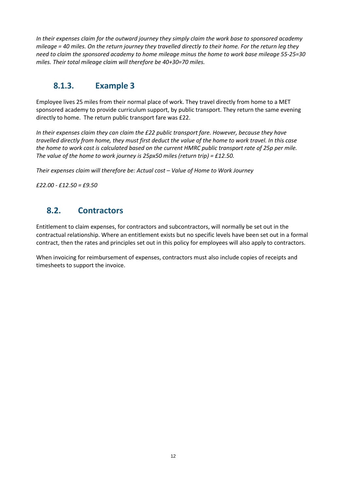*In their expenses claim for the outward journey they simply claim the work base to sponsored academy mileage = 40 miles. On the return journey they travelled directly to their home. For the return leg they need to claim the sponsored academy to home mileage minus the home to work base mileage 55-25=30 miles. Their total mileage claim will therefore be 40+30=70 miles.*

## **8.1.3. Example 3**

Employee lives 25 miles from their normal place of work. They travel directly from home to a MET sponsored academy to provide curriculum support, by public transport. They return the same evening directly to home. The return public transport fare was £22.

*In their expenses claim they can claim the £22 public transport fare. However, because they have travelled directly from home, they must first deduct the value of the home to work travel. In this case the home to work cost is calculated based on the current HMRC public transport rate of 25p per mile. The value of the home to work journey is 25px50 miles (return trip) = £12.50.*

*Their expenses claim will therefore be: Actual cost – Value of Home to Work Journey*

*£22.00 - £12.50 = £9.50*

## **8.2. Contractors**

Entitlement to claim expenses, for contractors and subcontractors, will normally be set out in the contractual relationship. Where an entitlement exists but no specific levels have been set out in a formal contract, then the rates and principles set out in this policy for employees will also apply to contractors.

When invoicing for reimbursement of expenses, contractors must also include copies of receipts and timesheets to support the invoice.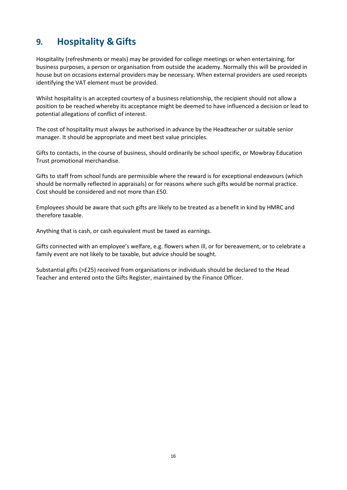## <span id="page-12-0"></span>**9. Hospitality & Gifts**

Hospitality (refreshments or meals) may be provided for college meetings or when entertaining, for business purposes, a person or organisation from outside the academy. Normally this will be provided in house but on occasions external providers may be necessary. When external providers are used receipts identifying the VAT element must be provided.

Whilst hospitality is an accepted courtesy of a business relationship, the recipient should not allow a position to be reached whereby its acceptance might be deemed to have influenced a decision or lead to potential allegations of conflict of interest.

The cost of hospitality must always be authorised in advance by the Headteacher or suitable senior manager. It should be appropriate and meet best value principles.

Gifts to contacts, in the course of business, should ordinarily be school specific, or Mowbray Education Trust promotional merchandise.

Gifts to staff from school funds are permissible where the reward is for exceptional endeavours (which should be normally reflected in appraisals) or for reasons where such gifts would be normal practice. Cost should be considered and not more than £50.

Employees should be aware that such gifts are likely to be treated as a benefit in kind by HMRC and therefore taxable.

Anything that is cash, or cash equivalent must be taxed as earnings.

Gifts connected with an employee's welfare, e.g. flowers when ill, or for bereavement, or to celebrate a family event are not likely to be taxable, but advice should be sought.

Substantial gifts (>£25) received from organisations or individuals should be declared to the Head Teacher and entered onto the Gifts Register, maintained by the Finance Officer.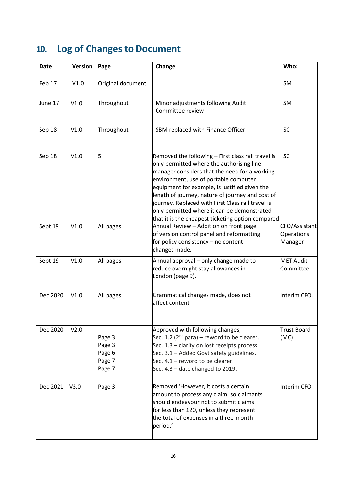# <span id="page-13-0"></span>**10. Log of Changes to Document**

| <b>Date</b> | Version | Page                                           | Change                                                                                                                                                                                                                                                                                                                                                                                                                                                  | Who:                                   |
|-------------|---------|------------------------------------------------|---------------------------------------------------------------------------------------------------------------------------------------------------------------------------------------------------------------------------------------------------------------------------------------------------------------------------------------------------------------------------------------------------------------------------------------------------------|----------------------------------------|
| Feb 17      | V1.0    | Original document                              |                                                                                                                                                                                                                                                                                                                                                                                                                                                         | <b>SM</b>                              |
| June 17     | V1.0    | Throughout                                     | Minor adjustments following Audit<br>Committee review                                                                                                                                                                                                                                                                                                                                                                                                   | <b>SM</b>                              |
| Sep 18      | V1.0    | Throughout                                     | SBM replaced with Finance Officer                                                                                                                                                                                                                                                                                                                                                                                                                       | <b>SC</b>                              |
| Sep 18      | V1.0    | 5                                              | Removed the following - First class rail travel is<br>only permitted where the authorising line<br>manager considers that the need for a working<br>environment, use of portable computer<br>equipment for example, is justified given the<br>length of journey, nature of journey and cost of<br>journey. Replaced with First Class rail travel is<br>only permitted where it can be demonstrated<br>that it is the cheapest ticketing option compared | <b>SC</b>                              |
| Sept 19     | V1.0    | All pages                                      | Annual Review - Addition on front page<br>of version control panel and reformatting<br>for policy consistency - no content<br>changes made.                                                                                                                                                                                                                                                                                                             | CFO/Assistant<br>Operations<br>Manager |
| Sept 19     | V1.0    | All pages                                      | Annual approval - only change made to<br>reduce overnight stay allowances in<br>London (page 9).                                                                                                                                                                                                                                                                                                                                                        | <b>MET Audit</b><br>Committee          |
| Dec 2020    | V1.0    | All pages                                      | Grammatical changes made, does not<br>affect content.                                                                                                                                                                                                                                                                                                                                                                                                   | Interim CFO.                           |
| Dec 2020    | V2.0    | Page 3<br>Page 3<br>Page 6<br>Page 7<br>Page 7 | Approved with following changes;<br>Sec. 1.2 ( $2^{nd}$ para) – reword to be clearer.<br>Sec. 1.3 - clarity on lost receipts process.<br>Sec. 3.1 - Added Govt safety guidelines.<br>Sec. 4.1 - reword to be clearer.<br>Sec. 4.3 - date changed to 2019.                                                                                                                                                                                               | <b>Trust Board</b><br>(MC)             |
| Dec 2021    | V3.0    | Page 3                                         | Removed 'However, it costs a certain<br>amount to process any claim, so claimants<br>should endeavour not to submit claims<br>for less than £20, unless they represent<br>the total of expenses in a three-month<br>period.'                                                                                                                                                                                                                            | Interim CFO                            |